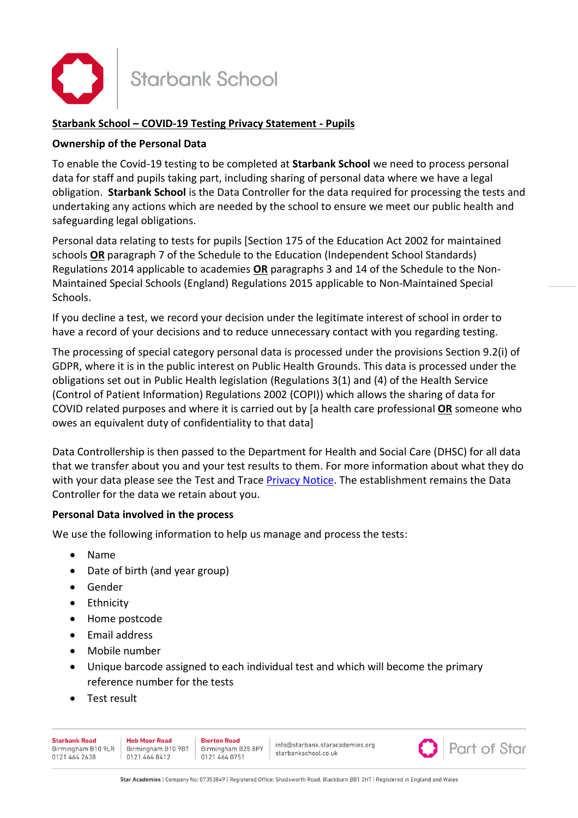

### **Starbank School – COVID-19 Testing Privacy Statement - Pupils**

### **Ownership of the Personal Data**

To enable the Covid-19 testing to be completed at **Starbank School** we need to process personal data for staff and pupils taking part, including sharing of personal data where we have a legal obligation. **Starbank School** is the Data Controller for the data required for processing the tests and undertaking any actions which are needed by the school to ensure we meet our public health and safeguarding legal obligations.

Personal data relating to tests for pupils [Section 175 of the Education Act 2002 for maintained schools **OR** paragraph 7 of the Schedule to the Education (Independent School Standards) Regulations 2014 applicable to academies **OR** paragraphs 3 and 14 of the Schedule to the Non-Maintained Special Schools (England) Regulations 2015 applicable to Non-Maintained Special Schools.

If you decline a test, we record your decision under the legitimate interest of school in order to have a record of your decisions and to reduce unnecessary contact with you regarding testing.

The processing of special category personal data is processed under the provisions Section 9.2(i) of GDPR, where it is in the public interest on Public Health Grounds. This data is processed under the obligations set out in Public Health legislation (Regulations 3(1) and (4) of the Health Service (Control of Patient Information) Regulations 2002 (COPI)) which allows the sharing of data for COVID related purposes and where it is carried out by [a health care professional **OR** someone who owes an equivalent duty of confidentiality to that data]

Data Controllership is then passed to the Department for Health and Social Care (DHSC) for all data that we transfer about you and your test results to them. For more information about what they do with your data please see the Test and Trace [Privacy Notice.](https://contact-tracing.phe.gov.uk/help/privacy-notice) The establishment remains the Data Controller for the data we retain about you.

#### **Personal Data involved in the process**

We use the following information to help us manage and process the tests:

- Name
- Date of birth (and year group)
- Gender
- Ethnicity
- Home postcode
- Email address
- Mobile number
- Unique barcode assigned to each individual test and which will become the primary reference number for the tests
- Test result

| Starbank Road<br>0121 464 2638 | <b>Hob Moor Road</b><br>Birmingham B10 9LR   Birmingham B10 9BT   Birmingham B25 8PY<br>0121 464 8412 | <b>Bierton Road</b><br>0121 464 0751 | info@starbank.staracademies.org<br>starbankschool.co.uk |  | <b>O</b> Part of Star |  |  |
|--------------------------------|-------------------------------------------------------------------------------------------------------|--------------------------------------|---------------------------------------------------------|--|-----------------------|--|--|
|--------------------------------|-------------------------------------------------------------------------------------------------------|--------------------------------------|---------------------------------------------------------|--|-----------------------|--|--|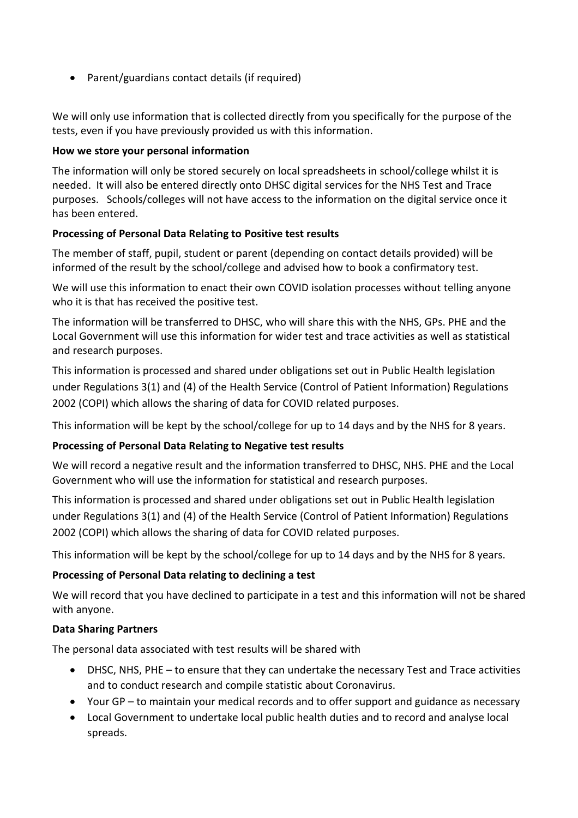• Parent/guardians contact details (if required)

We will only use information that is collected directly from you specifically for the purpose of the tests, even if you have previously provided us with this information.

## **How we store your personal information**

The information will only be stored securely on local spreadsheets in school/college whilst it is needed. It will also be entered directly onto DHSC digital services for the NHS Test and Trace purposes. Schools/colleges will not have access to the information on the digital service once it has been entered.

## **Processing of Personal Data Relating to Positive test results**

The member of staff, pupil, student or parent (depending on contact details provided) will be informed of the result by the school/college and advised how to book a confirmatory test.

We will use this information to enact their own COVID isolation processes without telling anyone who it is that has received the positive test.

The information will be transferred to DHSC, who will share this with the NHS, GPs. PHE and the Local Government will use this information for wider test and trace activities as well as statistical and research purposes.

This information is processed and shared under obligations set out in Public Health legislation under Regulations 3(1) and (4) of the Health Service (Control of Patient Information) Regulations 2002 (COPI) which allows the sharing of data for COVID related purposes.

This information will be kept by the school/college for up to 14 days and by the NHS for 8 years.

# **Processing of Personal Data Relating to Negative test results**

We will record a negative result and the information transferred to DHSC, NHS. PHE and the Local Government who will use the information for statistical and research purposes.

This information is processed and shared under obligations set out in Public Health legislation under Regulations 3(1) and (4) of the Health Service (Control of Patient Information) Regulations 2002 (COPI) which allows the sharing of data for COVID related purposes.

This information will be kept by the school/college for up to 14 days and by the NHS for 8 years.

# **Processing of Personal Data relating to declining a test**

We will record that you have declined to participate in a test and this information will not be shared with anyone.

# **Data Sharing Partners**

The personal data associated with test results will be shared with

- DHSC, NHS, PHE to ensure that they can undertake the necessary Test and Trace activities and to conduct research and compile statistic about Coronavirus.
- Your GP to maintain your medical records and to offer support and guidance as necessary
- Local Government to undertake local public health duties and to record and analyse local spreads.